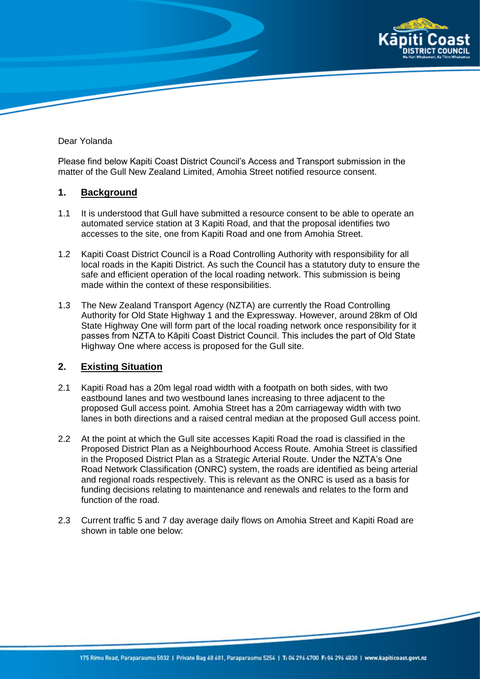

Dear Yolanda

Please find below Kapiti Coast District Council's Access and Transport submission in the matter of the Gull New Zealand Limited, Amohia Street notified resource consent.

#### **1. Background**

- 1.1 It is understood that Gull have submitted a resource consent to be able to operate an automated service station at 3 Kapiti Road, and that the proposal identifies two accesses to the site, one from Kapiti Road and one from Amohia Street.
- 1.2 Kapiti Coast District Council is a Road Controlling Authority with responsibility for all local roads in the Kapiti District. As such the Council has a statutory duty to ensure the safe and efficient operation of the local roading network. This submission is being made within the context of these responsibilities.
- 1.3 The New Zealand Transport Agency (NZTA) are currently the Road Controlling Authority for Old State Highway 1 and the Expressway. However, around 28km of Old State Highway One will form part of the local roading network once responsibility for it passes from NZTA to Kāpiti Coast District Council. This includes the part of Old State Highway One where access is proposed for the Gull site.

## **2. Existing Situation**

- 2.1 Kapiti Road has a 20m legal road width with a footpath on both sides, with two eastbound lanes and two westbound lanes increasing to three adjacent to the proposed Gull access point. Amohia Street has a 20m carriageway width with two lanes in both directions and a raised central median at the proposed Gull access point.
- 2.2 At the point at which the Gull site accesses Kapiti Road the road is classified in the Proposed District Plan as a Neighbourhood Access Route. Amohia Street is classified in the Proposed District Plan as a Strategic Arterial Route. Under the NZTA's One Road Network Classification (ONRC) system, the roads are identified as being arterial and regional roads respectively. This is relevant as the ONRC is used as a basis for funding decisions relating to maintenance and renewals and relates to the form and function of the road.
- 2.3 Current traffic 5 and 7 day average daily flows on Amohia Street and Kapiti Road are shown in table one below: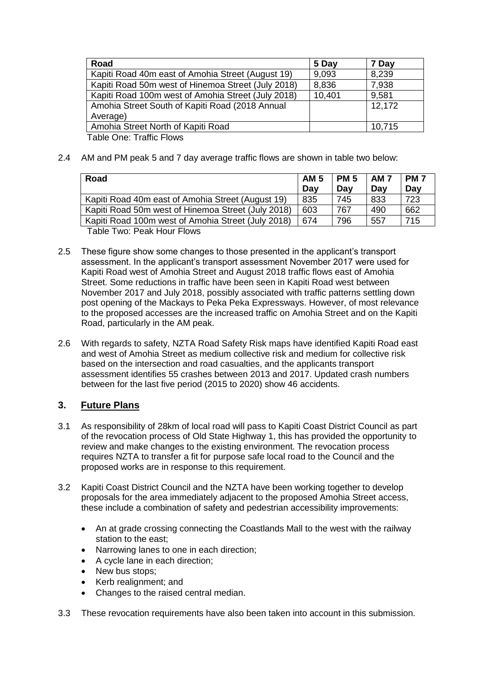| Road                                               | 5 Day  | 7 Day  |
|----------------------------------------------------|--------|--------|
| Kapiti Road 40m east of Amohia Street (August 19)  | 9,093  | 8,239  |
| Kapiti Road 50m west of Hinemoa Street (July 2018) | 8,836  | 7,938  |
| Kapiti Road 100m west of Amohia Street (July 2018) | 10,401 | 9,581  |
| Amohia Street South of Kapiti Road (2018 Annual    |        | 12,172 |
| Average)                                           |        |        |
| Amohia Street North of Kapiti Road                 |        | 10,715 |
| <b>Table One: Traffic Flows</b>                    |        |        |

2.4 AM and PM peak 5 and 7 day average traffic flows are shown in table two below:

| Road                                               | <b>AM 5</b> | <b>PM 5</b> | <b>AM 7</b> | <b>PM7</b> |
|----------------------------------------------------|-------------|-------------|-------------|------------|
|                                                    | Day         | Day         | Day         | Day        |
| Kapiti Road 40m east of Amohia Street (August 19)  | 835         | 745         | 833         | 723        |
| Kapiti Road 50m west of Hinemoa Street (July 2018) | 603         | 767         | 490         | 662        |
| Kapiti Road 100m west of Amohia Street (July 2018) | 674         | 796         | 557         | 715        |
| Table Two: Peak Hour Flows                         |             |             |             |            |

2.5 These figure show some changes to those presented in the applicant's transport assessment. In the applicant's transport assessment November 2017 were used for Kapiti Road west of Amohia Street and August 2018 traffic flows east of Amohia Street. Some reductions in traffic have been seen in Kapiti Road west between November 2017 and July 2018, possibly associated with traffic patterns settling down post opening of the Mackays to Peka Peka Expressways. However, of most relevance to the proposed accesses are the increased traffic on Amohia Street and on the Kapiti Road, particularly in the AM peak.

2.6 With regards to safety, NZTA Road Safety Risk maps have identified Kapiti Road east and west of Amohia Street as medium collective risk and medium for collective risk based on the intersection and road casualties, and the applicants transport assessment identifies 55 crashes between 2013 and 2017. Updated crash numbers between for the last five period (2015 to 2020) show 46 accidents.

# **3. Future Plans**

- 3.1 As responsibility of 28km of local road will pass to Kapiti Coast District Council as part of the revocation process of Old State Highway 1, this has provided the opportunity to review and make changes to the existing environment. The revocation process requires NZTA to transfer a fit for purpose safe local road to the Council and the proposed works are in response to this requirement.
- 3.2 Kapiti Coast District Council and the NZTA have been working together to develop proposals for the area immediately adjacent to the proposed Amohia Street access, these include a combination of safety and pedestrian accessibility improvements:
	- An at grade crossing connecting the Coastlands Mall to the west with the railway station to the east;
	- Narrowing lanes to one in each direction:
	- A cycle lane in each direction;
	- New bus stops;
	- Kerb realignment; and
	- Changes to the raised central median.
- 3.3 These revocation requirements have also been taken into account in this submission.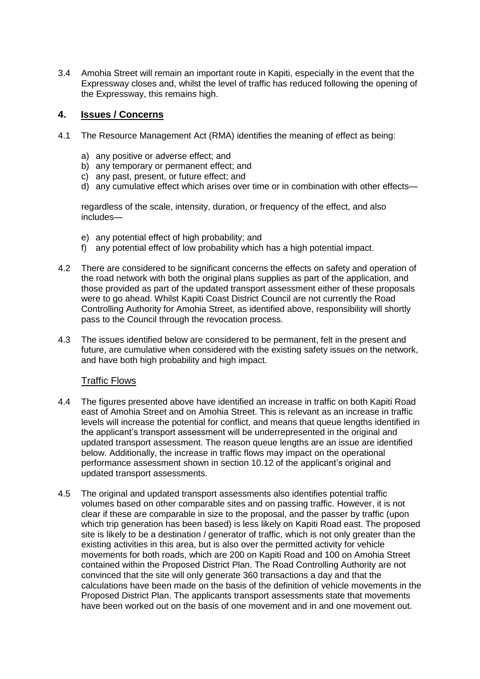3.4 Amohia Street will remain an important route in Kapiti, especially in the event that the Expressway closes and, whilst the level of traffic has reduced following the opening of the Expressway, this remains high.

## **4. Issues / Concerns**

- 4.1 The Resource Management Act (RMA) identifies the meaning of effect as being:
	- a) any positive or adverse effect; and
	- b) any temporary or permanent effect; and
	- c) any past, present, or future effect; and
	- d) any cumulative effect which arises over time or in combination with other effects—

regardless of the scale, intensity, duration, or frequency of the effect, and also includes—

- e) any potential effect of high probability; and
- f) any potential effect of low probability which has a high potential impact.
- 4.2 There are considered to be significant concerns the effects on safety and operation of the road network with both the original plans supplies as part of the application, and those provided as part of the updated transport assessment either of these proposals were to go ahead. Whilst Kapiti Coast District Council are not currently the Road Controlling Authority for Amohia Street, as identified above, responsibility will shortly pass to the Council through the revocation process.
- 4.3 The issues identified below are considered to be permanent, felt in the present and future, are cumulative when considered with the existing safety issues on the network, and have both high probability and high impact.

## Traffic Flows

- 4.4 The figures presented above have identified an increase in traffic on both Kapiti Road east of Amohia Street and on Amohia Street. This is relevant as an increase in traffic levels will increase the potential for conflict, and means that queue lengths identified in the applicant's transport assessment will be underrepresented in the original and updated transport assessment. The reason queue lengths are an issue are identified below. Additionally, the increase in traffic flows may impact on the operational performance assessment shown in section 10.12 of the applicant's original and updated transport assessments.
- 4.5 The original and updated transport assessments also identifies potential traffic volumes based on other comparable sites and on passing traffic. However, it is not clear if these are comparable in size to the proposal, and the passer by traffic (upon which trip generation has been based) is less likely on Kapiti Road east. The proposed site is likely to be a destination / generator of traffic, which is not only greater than the existing activities in this area, but is also over the permitted activity for vehicle movements for both roads, which are 200 on Kapiti Road and 100 on Amohia Street contained within the Proposed District Plan. The Road Controlling Authority are not convinced that the site will only generate 360 transactions a day and that the calculations have been made on the basis of the definition of vehicle movements in the Proposed District Plan. The applicants transport assessments state that movements have been worked out on the basis of one movement and in and one movement out.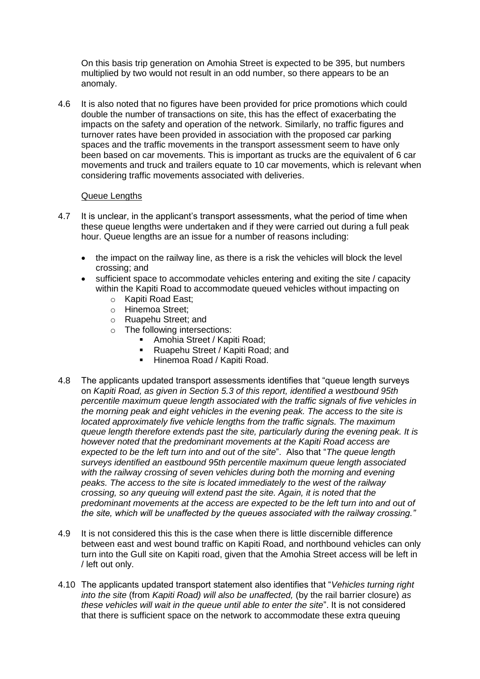On this basis trip generation on Amohia Street is expected to be 395, but numbers multiplied by two would not result in an odd number, so there appears to be an anomaly.

4.6 It is also noted that no figures have been provided for price promotions which could double the number of transactions on site, this has the effect of exacerbating the impacts on the safety and operation of the network. Similarly, no traffic figures and turnover rates have been provided in association with the proposed car parking spaces and the traffic movements in the transport assessment seem to have only been based on car movements. This is important as trucks are the equivalent of 6 car movements and truck and trailers equate to 10 car movements, which is relevant when considering traffic movements associated with deliveries.

## Queue Lengths

- 4.7 It is unclear, in the applicant's transport assessments, what the period of time when these queue lengths were undertaken and if they were carried out during a full peak hour. Queue lengths are an issue for a number of reasons including:
	- the impact on the railway line, as there is a risk the vehicles will block the level crossing; and
	- sufficient space to accommodate vehicles entering and exiting the site / capacity within the Kapiti Road to accommodate queued vehicles without impacting on
		- o Kapiti Road East;
		- o Hinemoa Street;
		- o Ruapehu Street; and
		- o The following intersections:
			- **Amohia Street / Kapiti Road;**
			- **Ruapehu Street / Kapiti Road; and**
			- **Hinemoa Road / Kapiti Road.**
- 4.8 The applicants updated transport assessments identifies that "queue length surveys on *Kapiti Road, as given in Section 5.3 of this report, identified a westbound 95th percentile maximum queue length associated with the traffic signals of five vehicles in the morning peak and eight vehicles in the evening peak. The access to the site is located approximately five vehicle lengths from the traffic signals. The maximum queue length therefore extends past the site, particularly during the evening peak. It is however noted that the predominant movements at the Kapiti Road access are expected to be the left turn into and out of the site*". Also that "*The queue length surveys identified an eastbound 95th percentile maximum queue length associated with the railway crossing of seven vehicles during both the morning and evening peaks. The access to the site is located immediately to the west of the railway crossing, so any queuing will extend past the site. Again, it is noted that the predominant movements at the access are expected to be the left turn into and out of the site, which will be unaffected by the queues associated with the railway crossing."*
- 4.9 It is not considered this this is the case when there is little discernible difference between east and west bound traffic on Kapiti Road, and northbound vehicles can only turn into the Gull site on Kapiti road, given that the Amohia Street access will be left in / left out only.
- 4.10 The applicants updated transport statement also identifies that "*Vehicles turning right into the site* (from *Kapiti Road) will also be unaffected,* (by the rail barrier closure) *as these vehicles will wait in the queue until able to enter the site*". It is not considered that there is sufficient space on the network to accommodate these extra queuing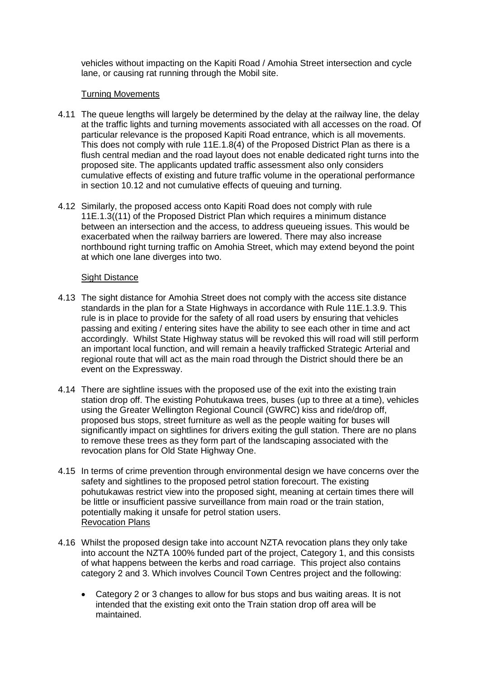vehicles without impacting on the Kapiti Road / Amohia Street intersection and cycle lane, or causing rat running through the Mobil site.

#### Turning Movements

- 4.11 The queue lengths will largely be determined by the delay at the railway line, the delay at the traffic lights and turning movements associated with all accesses on the road. Of particular relevance is the proposed Kapiti Road entrance, which is all movements. This does not comply with rule 11E.1.8(4) of the Proposed District Plan as there is a flush central median and the road layout does not enable dedicated right turns into the proposed site. The applicants updated traffic assessment also only considers cumulative effects of existing and future traffic volume in the operational performance in section 10.12 and not cumulative effects of queuing and turning.
- 4.12 Similarly, the proposed access onto Kapiti Road does not comply with rule 11E.1.3((11) of the Proposed District Plan which requires a minimum distance between an intersection and the access, to address queueing issues. This would be exacerbated when the railway barriers are lowered. There may also increase northbound right turning traffic on Amohia Street, which may extend beyond the point at which one lane diverges into two.

#### Sight Distance

- 4.13 The sight distance for Amohia Street does not comply with the access site distance standards in the plan for a State Highways in accordance with Rule 11E.1.3.9. This rule is in place to provide for the safety of all road users by ensuring that vehicles passing and exiting / entering sites have the ability to see each other in time and act accordingly. Whilst State Highway status will be revoked this will road will still perform an important local function, and will remain a heavily trafficked Strategic Arterial and regional route that will act as the main road through the District should there be an event on the Expressway.
- 4.14 There are sightline issues with the proposed use of the exit into the existing train station drop off. The existing Pohutukawa trees, buses (up to three at a time), vehicles using the Greater Wellington Regional Council (GWRC) kiss and ride/drop off, proposed bus stops, street furniture as well as the people waiting for buses will significantly impact on sightlines for drivers exiting the gull station. There are no plans to remove these trees as they form part of the landscaping associated with the revocation plans for Old State Highway One.
- 4.15 In terms of crime prevention through environmental design we have concerns over the safety and sightlines to the proposed petrol station forecourt. The existing pohutukawas restrict view into the proposed sight, meaning at certain times there will be little or insufficient passive surveillance from main road or the train station, potentially making it unsafe for petrol station users. Revocation Plans
- 4.16 Whilst the proposed design take into account NZTA revocation plans they only take into account the NZTA 100% funded part of the project, Category 1, and this consists of what happens between the kerbs and road carriage. This project also contains category 2 and 3. Which involves Council Town Centres project and the following:
	- Category 2 or 3 changes to allow for bus stops and bus waiting areas. It is not intended that the existing exit onto the Train station drop off area will be maintained.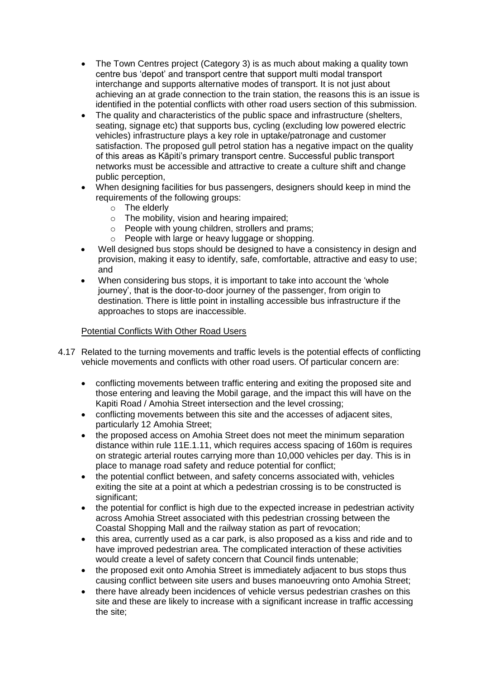- The Town Centres project (Category 3) is as much about making a quality town centre bus 'depot' and transport centre that support multi modal transport interchange and supports alternative modes of transport. It is not just about achieving an at grade connection to the train station, the reasons this is an issue is identified in the potential conflicts with other road users section of this submission.
- The quality and characteristics of the public space and infrastructure (shelters, seating, signage etc) that supports bus, cycling (excluding low powered electric vehicles) infrastructure plays a key role in uptake/patronage and customer satisfaction. The proposed gull petrol station has a negative impact on the quality of this areas as Kāpiti's primary transport centre. Successful public transport networks must be accessible and attractive to create a culture shift and change public perception,
- When designing facilities for bus passengers, designers should keep in mind the requirements of the following groups:
	- o The elderly
	- $\circ$  The mobility, vision and hearing impaired;
	- o People with young children, strollers and prams;
	- o People with large or heavy luggage or shopping.
- Well designed bus stops should be designed to have a consistency in design and provision, making it easy to identify, safe, comfortable, attractive and easy to use; and
- When considering bus stops, it is important to take into account the 'whole journey', that is the door-to-door journey of the passenger, from origin to destination. There is little point in installing accessible bus infrastructure if the approaches to stops are inaccessible.

## Potential Conflicts With Other Road Users

- 4.17 Related to the turning movements and traffic levels is the potential effects of conflicting vehicle movements and conflicts with other road users. Of particular concern are:
	- conflicting movements between traffic entering and exiting the proposed site and those entering and leaving the Mobil garage, and the impact this will have on the Kapiti Road / Amohia Street intersection and the level crossing;
	- conflicting movements between this site and the accesses of adjacent sites, particularly 12 Amohia Street;
	- the proposed access on Amohia Street does not meet the minimum separation distance within rule 11E.1.11, which requires access spacing of 160m is requires on strategic arterial routes carrying more than 10,000 vehicles per day. This is in place to manage road safety and reduce potential for conflict;
	- the potential conflict between, and safety concerns associated with, vehicles exiting the site at a point at which a pedestrian crossing is to be constructed is significant:
	- the potential for conflict is high due to the expected increase in pedestrian activity across Amohia Street associated with this pedestrian crossing between the Coastal Shopping Mall and the railway station as part of revocation;
	- this area, currently used as a car park, is also proposed as a kiss and ride and to have improved pedestrian area. The complicated interaction of these activities would create a level of safety concern that Council finds untenable;
	- the proposed exit onto Amohia Street is immediately adjacent to bus stops thus causing conflict between site users and buses manoeuvring onto Amohia Street;
	- there have already been incidences of vehicle versus pedestrian crashes on this site and these are likely to increase with a significant increase in traffic accessing the site;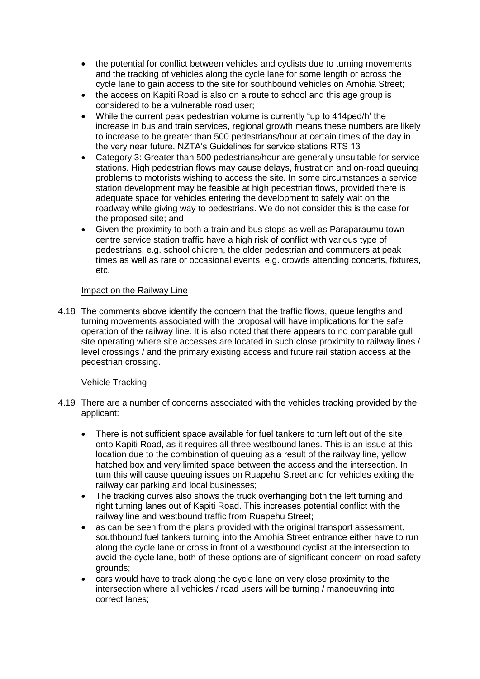- the potential for conflict between vehicles and cyclists due to turning movements and the tracking of vehicles along the cycle lane for some length or across the cycle lane to gain access to the site for southbound vehicles on Amohia Street;
- the access on Kapiti Road is also on a route to school and this age group is considered to be a vulnerable road user;
- While the current peak pedestrian volume is currently "up to 414ped/h' the increase in bus and train services, regional growth means these numbers are likely to increase to be greater than 500 pedestrians/hour at certain times of the day in the very near future. NZTA's Guidelines for service stations RTS 13
- Category 3: Greater than 500 pedestrians/hour are generally unsuitable for service stations. High pedestrian flows may cause delays, frustration and on-road queuing problems to motorists wishing to access the site. In some circumstances a service station development may be feasible at high pedestrian flows, provided there is adequate space for vehicles entering the development to safely wait on the roadway while giving way to pedestrians. We do not consider this is the case for the proposed site; and
- Given the proximity to both a train and bus stops as well as Paraparaumu town centre service station traffic have a high risk of conflict with various type of pedestrians, e.g. school children, the older pedestrian and commuters at peak times as well as rare or occasional events, e.g. crowds attending concerts, fixtures, etc.

## Impact on the Railway Line

4.18 The comments above identify the concern that the traffic flows, queue lengths and turning movements associated with the proposal will have implications for the safe operation of the railway line. It is also noted that there appears to no comparable gull site operating where site accesses are located in such close proximity to railway lines / level crossings / and the primary existing access and future rail station access at the pedestrian crossing.

## Vehicle Tracking

- 4.19 There are a number of concerns associated with the vehicles tracking provided by the applicant:
	- There is not sufficient space available for fuel tankers to turn left out of the site onto Kapiti Road, as it requires all three westbound lanes. This is an issue at this location due to the combination of queuing as a result of the railway line, yellow hatched box and very limited space between the access and the intersection. In turn this will cause queuing issues on Ruapehu Street and for vehicles exiting the railway car parking and local businesses;
	- The tracking curves also shows the truck overhanging both the left turning and right turning lanes out of Kapiti Road. This increases potential conflict with the railway line and westbound traffic from Ruapehu Street;
	- as can be seen from the plans provided with the original transport assessment, southbound fuel tankers turning into the Amohia Street entrance either have to run along the cycle lane or cross in front of a westbound cyclist at the intersection to avoid the cycle lane, both of these options are of significant concern on road safety grounds;
	- cars would have to track along the cycle lane on very close proximity to the intersection where all vehicles / road users will be turning / manoeuvring into correct lanes;